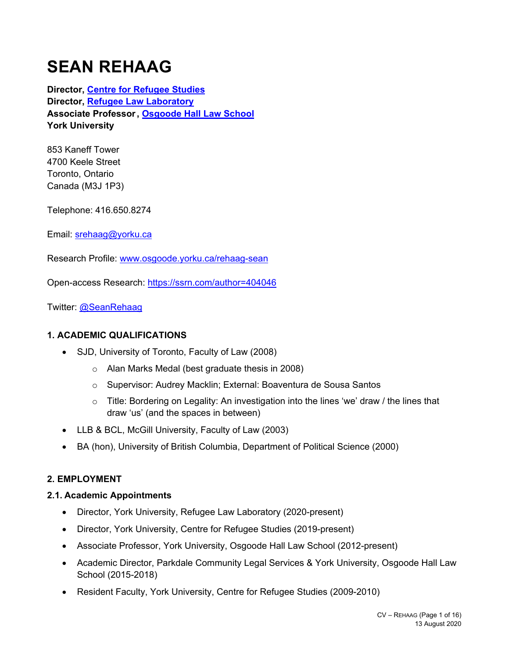# **SEAN REHAAG**

**Director, Centre for Refugee Studies Director, Refugee Law Laboratory Associate Professor , Osgoode Hall Law School York University** 

853 Kaneff Tower 4700 Keele Street Toronto, Ontario Canada (M3J 1P3)

Telephone: 416.650.8274

Email: srehaag@yorku.ca

Research Profile: www.osgoode.yorku.ca/rehaag-sean

Open-access Research: https://ssrn.com/author=404046

Twitter: @SeanRehaag

# **1. ACADEMIC QUALIFICATIONS**

- SJD, University of Toronto, Faculty of Law (2008)
	- o Alan Marks Medal (best graduate thesis in 2008)
	- o Supervisor: Audrey Macklin; External: Boaventura de Sousa Santos
	- $\circ$  Title: Bordering on Legality: An investigation into the lines 'we' draw / the lines that draw 'us' (and the spaces in between)
- LLB & BCL, McGill University, Faculty of Law (2003)
- BA (hon), University of British Columbia, Department of Political Science (2000)

# **2. EMPLOYMENT**

#### **2.1. Academic Appointments**

- Director, York University, Refugee Law Laboratory (2020-present)
- Director, York University, Centre for Refugee Studies (2019-present)
- Associate Professor, York University, Osgoode Hall Law School (2012-present)
- Academic Director, Parkdale Community Legal Services & York University, Osgoode Hall Law School (2015-2018)
- Resident Faculty, York University, Centre for Refugee Studies (2009-2010)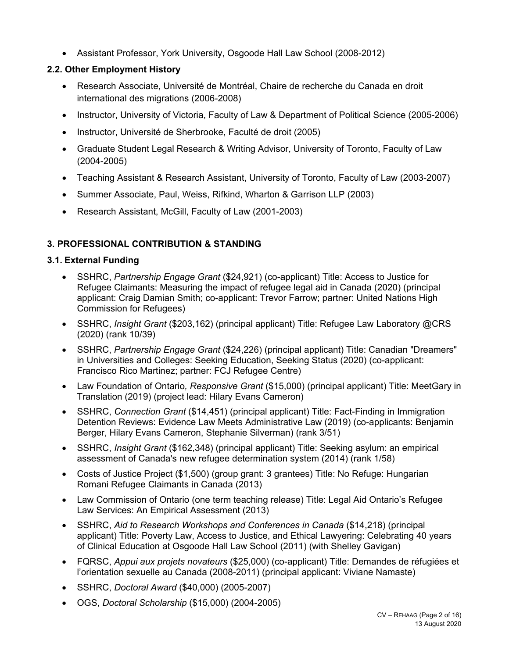Assistant Professor, York University, Osgoode Hall Law School (2008-2012)

# **2.2. Other Employment History**

- Research Associate, Université de Montréal, Chaire de recherche du Canada en droit international des migrations (2006-2008)
- Instructor, University of Victoria, Faculty of Law & Department of Political Science (2005-2006)
- Instructor, Université de Sherbrooke, Faculté de droit (2005)
- Graduate Student Legal Research & Writing Advisor, University of Toronto, Faculty of Law (2004-2005)
- Teaching Assistant & Research Assistant, University of Toronto, Faculty of Law (2003-2007)
- Summer Associate, Paul, Weiss, Rifkind, Wharton & Garrison LLP (2003)
- Research Assistant, McGill, Faculty of Law (2001-2003)

# **3. PROFESSIONAL CONTRIBUTION & STANDING**

# **3.1. External Funding**

- SSHRC, *Partnership Engage Grant* (\$24,921) (co-applicant) Title: Access to Justice for Refugee Claimants: Measuring the impact of refugee legal aid in Canada (2020) (principal applicant: Craig Damian Smith; co-applicant: Trevor Farrow; partner: United Nations High Commission for Refugees)
- SSHRC, *Insight Grant* (\$203,162) (principal applicant) Title: Refugee Law Laboratory @CRS (2020) (rank 10/39)
- SSHRC, *Partnership Engage Grant* (\$24,226) (principal applicant) Title: Canadian "Dreamers" in Universities and Colleges: Seeking Education, Seeking Status (2020) (co-applicant: Francisco Rico Martinez; partner: FCJ Refugee Centre)
- Law Foundation of Ontario*, Responsive Grant* (\$15,000) (principal applicant) Title: MeetGary in Translation (2019) (project lead: Hilary Evans Cameron)
- SSHRC, *Connection Grant* (\$14,451) (principal applicant) Title: Fact-Finding in Immigration Detention Reviews: Evidence Law Meets Administrative Law (2019) (co-applicants: Benjamin Berger, Hilary Evans Cameron, Stephanie Silverman) (rank 3/51)
- SSHRC, *Insight Grant* (\$162,348) (principal applicant) Title: Seeking asylum: an empirical assessment of Canada's new refugee determination system (2014) (rank 1/58)
- Costs of Justice Project (\$1,500) (group grant: 3 grantees) Title: No Refuge: Hungarian Romani Refugee Claimants in Canada (2013)
- Law Commission of Ontario (one term teaching release) Title: Legal Aid Ontario's Refugee Law Services: An Empirical Assessment (2013)
- SSHRC, *Aid to Research Workshops and Conferences in Canada* (\$14,218) (principal applicant) Title: Poverty Law, Access to Justice, and Ethical Lawyering: Celebrating 40 years of Clinical Education at Osgoode Hall Law School (2011) (with Shelley Gavigan)
- FQRSC, *Appui aux projets novateurs* (\$25,000) (co-applicant) Title: Demandes de réfugiées et l'orientation sexuelle au Canada (2008-2011) (principal applicant: Viviane Namaste)
- SSHRC, *Doctoral Award* (\$40,000) (2005-2007)
- OGS, *Doctoral Scholarship* (\$15,000) (2004-2005)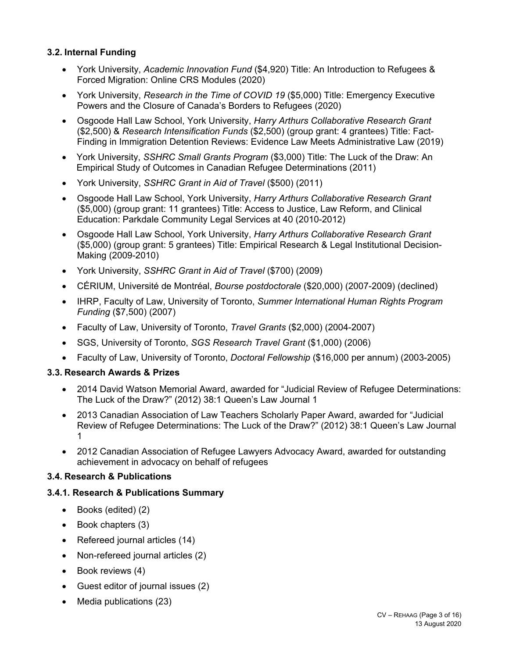# **3.2. Internal Funding**

- York University, *Academic Innovation Fund* (\$4,920) Title: An Introduction to Refugees & Forced Migration: Online CRS Modules (2020)
- York University, *Research in the Time of COVID 19* (\$5,000) Title: Emergency Executive Powers and the Closure of Canada's Borders to Refugees (2020)
- Osgoode Hall Law School, York University, *Harry Arthurs Collaborative Research Grant*  (\$2,500) & *Research Intensification Funds* (\$2,500) (group grant: 4 grantees) Title: Fact-Finding in Immigration Detention Reviews: Evidence Law Meets Administrative Law (2019)
- York University, *SSHRC Small Grants Program* (\$3,000) Title: The Luck of the Draw: An Empirical Study of Outcomes in Canadian Refugee Determinations (2011)
- York University, *SSHRC Grant in Aid of Travel* (\$500) (2011)
- Osgoode Hall Law School, York University, *Harry Arthurs Collaborative Research Grant* (\$5,000) (group grant: 11 grantees) Title: Access to Justice, Law Reform, and Clinical Education: Parkdale Community Legal Services at 40 (2010-2012)
- Osgoode Hall Law School, York University, *Harry Arthurs Collaborative Research Grant* (\$5,000) (group grant: 5 grantees) Title: Empirical Research & Legal Institutional Decision-Making (2009-2010)
- York University, *SSHRC Grant in Aid of Travel* (\$700) (2009)
- CÉRIUM, Université de Montréal, *Bourse postdoctorale* (\$20,000) (2007-2009) (declined)
- IHRP, Faculty of Law, University of Toronto, *Summer International Human Rights Program Funding* (\$7,500) (2007)
- Faculty of Law, University of Toronto, *Travel Grants* (\$2,000) (2004-2007)
- SGS, University of Toronto, *SGS Research Travel Grant* (\$1,000) (2006)
- Faculty of Law, University of Toronto, *Doctoral Fellowship* (\$16,000 per annum) (2003-2005)

#### **3.3. Research Awards & Prizes**

- 2014 David Watson Memorial Award, awarded for "Judicial Review of Refugee Determinations: The Luck of the Draw?" (2012) 38:1 Queen's Law Journal 1
- 2013 Canadian Association of Law Teachers Scholarly Paper Award, awarded for "Judicial Review of Refugee Determinations: The Luck of the Draw?" (2012) 38:1 Queen's Law Journal 1
- 2012 Canadian Association of Refugee Lawyers Advocacy Award, awarded for outstanding achievement in advocacy on behalf of refugees

#### **3.4. Research & Publications**

#### **3.4.1. Research & Publications Summary**

- Books (edited) (2)
- Book chapters (3)
- Refereed journal articles (14)
- Non-refereed journal articles (2)
- $\bullet$  Book reviews (4)
- Guest editor of journal issues (2)
- Media publications (23)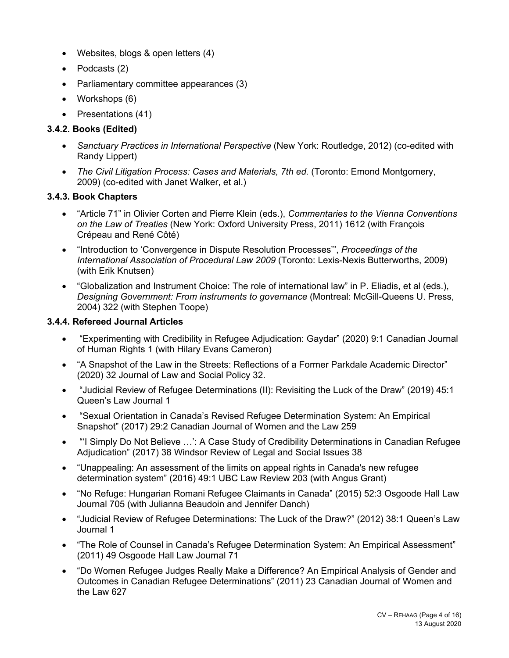- Websites, blogs & open letters (4)
- Podcasts (2)
- Parliamentary committee appearances (3)
- Workshops (6)
- Presentations (41)

# **3.4.2. Books (Edited)**

- *Sanctuary Practices in International Perspective* (New York: Routledge, 2012) (co-edited with Randy Lippert)
- *The Civil Litigation Process: Cases and Materials, 7th ed.* (Toronto: Emond Montgomery, 2009) (co-edited with Janet Walker, et al.)

# **3.4.3. Book Chapters**

- "Article 71" in Olivier Corten and Pierre Klein (eds.), *Commentaries to the Vienna Conventions on the Law of Treaties* (New York: Oxford University Press, 2011) 1612 (with François Crépeau and René Côté)
- "Introduction to 'Convergence in Dispute Resolution Processes'", *Proceedings of the International Association of Procedural Law 2009* (Toronto: Lexis-Nexis Butterworths, 2009) (with Erik Knutsen)
- "Globalization and Instrument Choice: The role of international law" in P. Eliadis, et al (eds.), *Designing Government: From instruments to governance* (Montreal: McGill-Queens U. Press, 2004) 322 (with Stephen Toope)

# **3.4.4. Refereed Journal Articles**

- "Experimenting with Credibility in Refugee Adjudication: Gaydar" (2020) 9:1 Canadian Journal of Human Rights 1 (with Hilary Evans Cameron)
- "A Snapshot of the Law in the Streets: Reflections of a Former Parkdale Academic Director" (2020) 32 Journal of Law and Social Policy 32.
- "Judicial Review of Refugee Determinations (II): Revisiting the Luck of the Draw" (2019) 45:1 Queen's Law Journal 1
- "Sexual Orientation in Canada's Revised Refugee Determination System: An Empirical Snapshot" (2017) 29:2 Canadian Journal of Women and the Law 259
- "'I Simply Do Not Believe …': A Case Study of Credibility Determinations in Canadian Refugee Adjudication" (2017) 38 Windsor Review of Legal and Social Issues 38
- "Unappealing: An assessment of the limits on appeal rights in Canada's new refugee determination system" (2016) 49:1 UBC Law Review 203 (with Angus Grant)
- "No Refuge: Hungarian Romani Refugee Claimants in Canada" (2015) 52:3 Osgoode Hall Law Journal 705 (with Julianna Beaudoin and Jennifer Danch)
- "Judicial Review of Refugee Determinations: The Luck of the Draw?" (2012) 38:1 Queen's Law Journal 1
- "The Role of Counsel in Canada's Refugee Determination System: An Empirical Assessment" (2011) 49 Osgoode Hall Law Journal 71
- "Do Women Refugee Judges Really Make a Difference? An Empirical Analysis of Gender and Outcomes in Canadian Refugee Determinations" (2011) 23 Canadian Journal of Women and the Law 627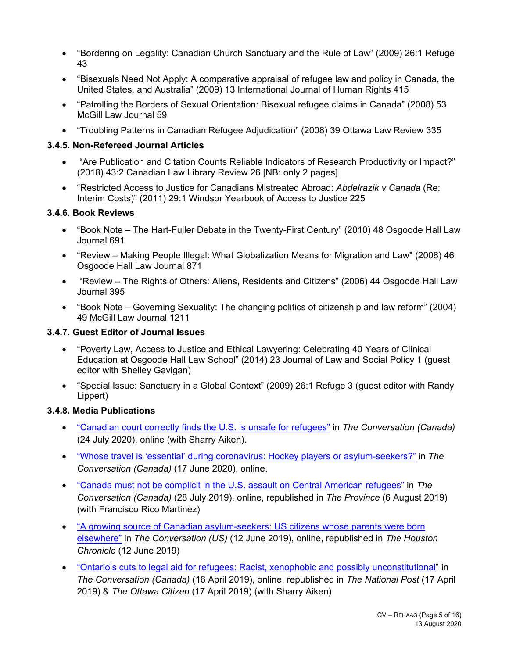- "Bordering on Legality: Canadian Church Sanctuary and the Rule of Law" (2009) 26:1 Refuge 43
- "Bisexuals Need Not Apply: A comparative appraisal of refugee law and policy in Canada, the United States, and Australia" (2009) 13 International Journal of Human Rights 415
- "Patrolling the Borders of Sexual Orientation: Bisexual refugee claims in Canada" (2008) 53 McGill Law Journal 59
- "Troubling Patterns in Canadian Refugee Adjudication" (2008) 39 Ottawa Law Review 335

#### **3.4.5. Non-Refereed Journal Articles**

- "Are Publication and Citation Counts Reliable Indicators of Research Productivity or Impact?" (2018) 43:2 Canadian Law Library Review 26 [NB: only 2 pages]
- "Restricted Access to Justice for Canadians Mistreated Abroad: *Abdelrazik v Canada* (Re: Interim Costs)" (2011) 29:1 Windsor Yearbook of Access to Justice 225

#### **3.4.6. Book Reviews**

- "Book Note The Hart-Fuller Debate in the Twenty-First Century" (2010) 48 Osgoode Hall Law Journal 691
- "Review Making People Illegal: What Globalization Means for Migration and Law" (2008) 46 Osgoode Hall Law Journal 871
- "Review The Rights of Others: Aliens, Residents and Citizens" (2006) 44 Osgoode Hall Law Journal 395
- "Book Note Governing Sexuality: The changing politics of citizenship and law reform" (2004) 49 McGill Law Journal 1211

### **3.4.7. Guest Editor of Journal Issues**

- "Poverty Law, Access to Justice and Ethical Lawyering: Celebrating 40 Years of Clinical Education at Osgoode Hall Law School" (2014) 23 Journal of Law and Social Policy 1 (guest editor with Shelley Gavigan)
- "Special Issue: Sanctuary in a Global Context" (2009) 26:1 Refuge 3 (guest editor with Randy Lippert)

#### **3.4.8. Media Publications**

- "Canadian court correctly finds the U.S. is unsafe for refugees" in *The Conversation (Canada)* (24 July 2020), online (with Sharry Aiken).
- "Whose travel is 'essential' during coronavirus: Hockey players or asylum-seekers?" in *The Conversation (Canada)* (17 June 2020), online.
- "Canada must not be complicit in the U.S. assault on Central American refugees" in *The Conversation (Canada)* (28 July 2019), online, republished in *The Province* (6 August 2019) (with Francisco Rico Martinez)
- "A growing source of Canadian asylum-seekers: US citizens whose parents were born elsewhere" in *The Conversation (US)* (12 June 2019), online, republished in *The Houston Chronicle* (12 June 2019)
- "Ontario's cuts to legal aid for refugees: Racist, xenophobic and possibly unconstitutional" in *The Conversation (Canada)* (16 April 2019), online, republished in *The National Post* (17 April 2019) & *The Ottawa Citizen* (17 April 2019) (with Sharry Aiken)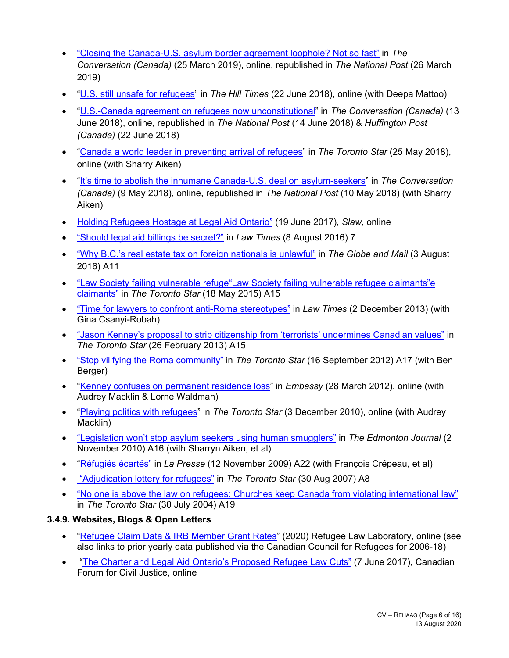- "Closing the Canada-U.S. asylum border agreement loophole? Not so fast" in *The Conversation (Canada)* (25 March 2019), online, republished in *The National Post* (26 March 2019)
- "U.S. still unsafe for refugees" in *The Hill Times* (22 June 2018), online (with Deepa Mattoo)
- "U.S.-Canada agreement on refugees now unconstitutional" in *The Conversation (Canada)* (13 June 2018), online, republished in *The National Post* (14 June 2018) & *Huffington Post (Canada)* (22 June 2018)
- "Canada a world leader in preventing arrival of refugees" in *The Toronto Star* (25 May 2018), online (with Sharry Aiken)
- "It's time to abolish the inhumane Canada-U.S. deal on asylum-seekers" in *The Conversation (Canada)* (9 May 2018), online, republished in *The National Post* (10 May 2018) (with Sharry Aiken)
- Holding Refugees Hostage at Legal Aid Ontario" (19 June 2017), *Slaw,* online
- "Should legal aid billings be secret?" in *Law Times* (8 August 2016) 7
- "Why B.C.'s real estate tax on foreign nationals is unlawful" in *The Globe and Mail* (3 August 2016) A11
- "Law Society failing vulnerable refuge"Law Society failing vulnerable refugee claimants"e claimants" in *The Toronto Star* (18 May 2015) A15
- "Time for lawyers to confront anti-Roma stereotypes" in *Law Times* (2 December 2013) (with Gina Csanyi-Robah)
- "Jason Kenney's proposal to strip citizenship from 'terrorists' undermines Canadian values" in *The Toronto Star* (26 February 2013) A15
- "Stop vilifying the Roma community" in *The Toronto Star* (16 September 2012) A17 (with Ben Berger)
- "Kenney confuses on permanent residence loss" in *Embassy* (28 March 2012), online (with Audrey Macklin & Lorne Waldman)
- "Playing politics with refugees" in *The Toronto Star* (3 December 2010), online (with Audrey Macklin)
- "Legislation won't stop asylum seekers using human smugglers" in *The Edmonton Journal* (2 November 2010) A16 (with Sharryn Aiken, et al)
- "Réfugiés écartés" in *La Presse* (12 November 2009) A22 (with François Crépeau, et al)
- "Adjudication lottery for refugees" in *The Toronto Star* (30 Aug 2007) A8
- "No one is above the law on refugees: Churches keep Canada from violating international law" in *The Toronto Star* (30 July 2004) A19

# **3.4.9. Websites, Blogs & Open Letters**

- "Refugee Claim Data & IRB Member Grant Rates" (2020) Refugee Law Laboratory, online (see also links to prior yearly data published via the Canadian Council for Refugees for 2006-18)
- "The Charter and Legal Aid Ontario's Proposed Refugee Law Cuts" (7 June 2017), Canadian Forum for Civil Justice, online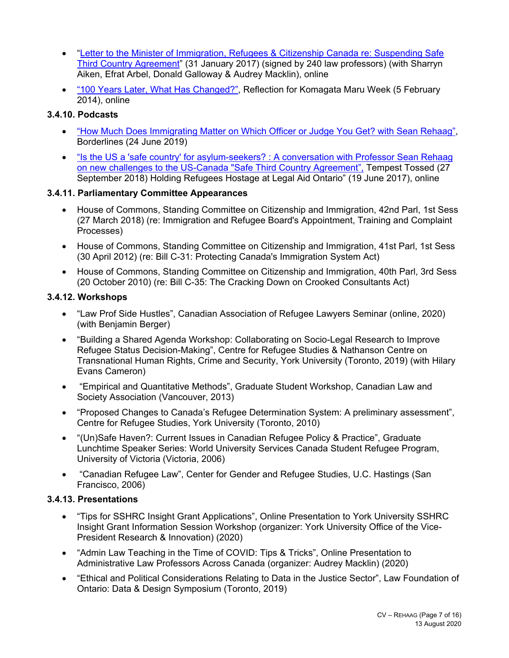- "Letter to the Minister of Immigration, Refugees & Citizenship Canada re: Suspending Safe Third Country Agreement" (31 January 2017) (signed by 240 law professors) (with Sharryn Aiken, Efrat Arbel, Donald Galloway & Audrey Macklin), online
- "100 Years Later, What Has Changed?", Reflection for Komagata Maru Week (5 February 2014), online

### **3.4.10. Podcasts**

- "How Much Does Immigrating Matter on Which Officer or Judge You Get? with Sean Rehaag", Borderlines (24 June 2019)
- "Is the US a 'safe country' for asylum-seekers? : A conversation with Professor Sean Rehaag on new challenges to the US-Canada "Safe Third Country Agreement", Tempest Tossed (27 September 2018) Holding Refugees Hostage at Legal Aid Ontario" (19 June 2017), online

#### **3.4.11. Parliamentary Committee Appearances**

- House of Commons, Standing Committee on Citizenship and Immigration, 42nd Parl, 1st Sess (27 March 2018) (re: Immigration and Refugee Board's Appointment, Training and Complaint Processes)
- House of Commons, Standing Committee on Citizenship and Immigration, 41st Parl, 1st Sess (30 April 2012) (re: Bill C-31: Protecting Canada's Immigration System Act)
- House of Commons, Standing Committee on Citizenship and Immigration, 40th Parl, 3rd Sess (20 October 2010) (re: Bill C-35: The Cracking Down on Crooked Consultants Act)

#### **3.4.12. Workshops**

- "Law Prof Side Hustles", Canadian Association of Refugee Lawyers Seminar (online, 2020) (with Benjamin Berger)
- "Building a Shared Agenda Workshop: Collaborating on Socio-Legal Research to Improve Refugee Status Decision-Making", Centre for Refugee Studies & Nathanson Centre on Transnational Human Rights, Crime and Security, York University (Toronto, 2019) (with Hilary Evans Cameron)
- "Empirical and Quantitative Methods", Graduate Student Workshop, Canadian Law and Society Association (Vancouver, 2013)
- "Proposed Changes to Canada's Refugee Determination System: A preliminary assessment", Centre for Refugee Studies, York University (Toronto, 2010)
- "(Un)Safe Haven?: Current Issues in Canadian Refugee Policy & Practice", Graduate Lunchtime Speaker Series: World University Services Canada Student Refugee Program, University of Victoria (Victoria, 2006)
- "Canadian Refugee Law", Center for Gender and Refugee Studies, U.C. Hastings (San Francisco, 2006)

#### **3.4.13. Presentations**

- "Tips for SSHRC Insight Grant Applications", Online Presentation to York University SSHRC Insight Grant Information Session Workshop (organizer: York University Office of the Vice-President Research & Innovation) (2020)
- "Admin Law Teaching in the Time of COVID: Tips & Tricks", Online Presentation to Administrative Law Professors Across Canada (organizer: Audrey Macklin) (2020)
- "Ethical and Political Considerations Relating to Data in the Justice Sector", Law Foundation of Ontario: Data & Design Symposium (Toronto, 2019)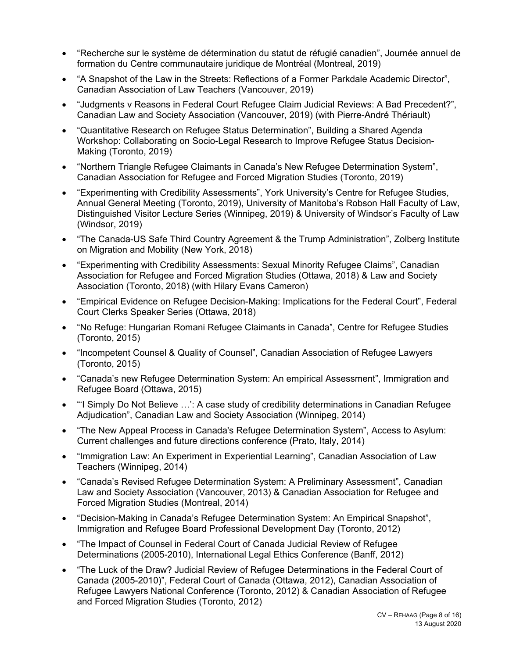- "Recherche sur le système de détermination du statut de réfugié canadien", Journée annuel de formation du Centre communautaire juridique de Montréal (Montreal, 2019)
- "A Snapshot of the Law in the Streets: Reflections of a Former Parkdale Academic Director", Canadian Association of Law Teachers (Vancouver, 2019)
- "Judgments v Reasons in Federal Court Refugee Claim Judicial Reviews: A Bad Precedent?", Canadian Law and Society Association (Vancouver, 2019) (with Pierre-André Thériault)
- "Quantitative Research on Refugee Status Determination", Building a Shared Agenda Workshop: Collaborating on Socio-Legal Research to Improve Refugee Status Decision-Making (Toronto, 2019)
- "Northern Triangle Refugee Claimants in Canada's New Refugee Determination System", Canadian Association for Refugee and Forced Migration Studies (Toronto, 2019)
- "Experimenting with Credibility Assessments", York University's Centre for Refugee Studies, Annual General Meeting (Toronto, 2019), University of Manitoba's Robson Hall Faculty of Law, Distinguished Visitor Lecture Series (Winnipeg, 2019) & University of Windsor's Faculty of Law (Windsor, 2019)
- "The Canada-US Safe Third Country Agreement & the Trump Administration", Zolberg Institute on Migration and Mobility (New York, 2018)
- "Experimenting with Credibility Assessments: Sexual Minority Refugee Claims", Canadian Association for Refugee and Forced Migration Studies (Ottawa, 2018) & Law and Society Association (Toronto, 2018) (with Hilary Evans Cameron)
- "Empirical Evidence on Refugee Decision-Making: Implications for the Federal Court", Federal Court Clerks Speaker Series (Ottawa, 2018)
- "No Refuge: Hungarian Romani Refugee Claimants in Canada", Centre for Refugee Studies (Toronto, 2015)
- "Incompetent Counsel & Quality of Counsel", Canadian Association of Refugee Lawyers (Toronto, 2015)
- "Canada's new Refugee Determination System: An empirical Assessment", Immigration and Refugee Board (Ottawa, 2015)
- "'I Simply Do Not Believe …': A case study of credibility determinations in Canadian Refugee Adjudication", Canadian Law and Society Association (Winnipeg, 2014)
- "The New Appeal Process in Canada's Refugee Determination System", Access to Asylum: Current challenges and future directions conference (Prato, Italy, 2014)
- "Immigration Law: An Experiment in Experiential Learning", Canadian Association of Law Teachers (Winnipeg, 2014)
- "Canada's Revised Refugee Determination System: A Preliminary Assessment", Canadian Law and Society Association (Vancouver, 2013) & Canadian Association for Refugee and Forced Migration Studies (Montreal, 2014)
- "Decision-Making in Canada's Refugee Determination System: An Empirical Snapshot", Immigration and Refugee Board Professional Development Day (Toronto, 2012)
- "The Impact of Counsel in Federal Court of Canada Judicial Review of Refugee Determinations (2005-2010), International Legal Ethics Conference (Banff, 2012)
- "The Luck of the Draw? Judicial Review of Refugee Determinations in the Federal Court of Canada (2005-2010)", Federal Court of Canada (Ottawa, 2012), Canadian Association of Refugee Lawyers National Conference (Toronto, 2012) & Canadian Association of Refugee and Forced Migration Studies (Toronto, 2012)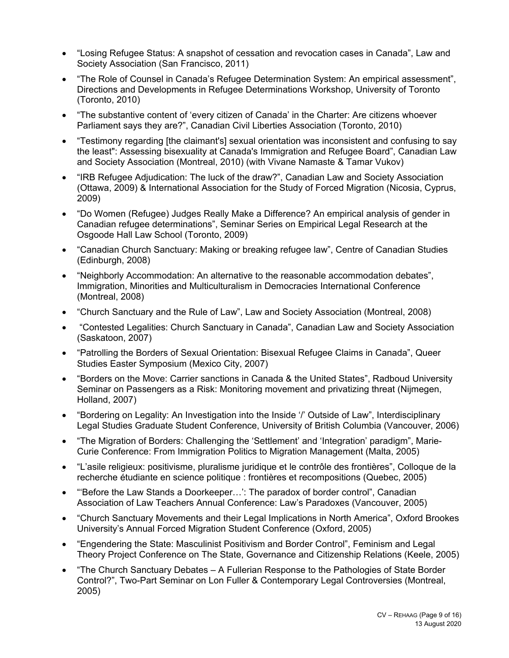- "Losing Refugee Status: A snapshot of cessation and revocation cases in Canada", Law and Society Association (San Francisco, 2011)
- "The Role of Counsel in Canada's Refugee Determination System: An empirical assessment", Directions and Developments in Refugee Determinations Workshop, University of Toronto (Toronto, 2010)
- "The substantive content of 'every citizen of Canada' in the Charter: Are citizens whoever Parliament says they are?", Canadian Civil Liberties Association (Toronto, 2010)
- "Testimony regarding [the claimant's] sexual orientation was inconsistent and confusing to say the least": Assessing bisexuality at Canada's Immigration and Refugee Board", Canadian Law and Society Association (Montreal, 2010) (with Vivane Namaste & Tamar Vukov)
- "IRB Refugee Adjudication: The luck of the draw?", Canadian Law and Society Association (Ottawa, 2009) & International Association for the Study of Forced Migration (Nicosia, Cyprus, 2009)
- "Do Women (Refugee) Judges Really Make a Difference? An empirical analysis of gender in Canadian refugee determinations", Seminar Series on Empirical Legal Research at the Osgoode Hall Law School (Toronto, 2009)
- "Canadian Church Sanctuary: Making or breaking refugee law", Centre of Canadian Studies (Edinburgh, 2008)
- "Neighborly Accommodation: An alternative to the reasonable accommodation debates", Immigration, Minorities and Multiculturalism in Democracies International Conference (Montreal, 2008)
- "Church Sanctuary and the Rule of Law", Law and Society Association (Montreal, 2008)
- "Contested Legalities: Church Sanctuary in Canada", Canadian Law and Society Association (Saskatoon, 2007)
- "Patrolling the Borders of Sexual Orientation: Bisexual Refugee Claims in Canada", Queer Studies Easter Symposium (Mexico City, 2007)
- "Borders on the Move: Carrier sanctions in Canada & the United States", Radboud University Seminar on Passengers as a Risk: Monitoring movement and privatizing threat (Nijmegen, Holland, 2007)
- "Bordering on Legality: An Investigation into the Inside '/' Outside of Law", Interdisciplinary Legal Studies Graduate Student Conference, University of British Columbia (Vancouver, 2006)
- "The Migration of Borders: Challenging the 'Settlement' and 'Integration' paradigm", Marie-Curie Conference: From Immigration Politics to Migration Management (Malta, 2005)
- "L'asile religieux: positivisme, pluralisme juridique et le contrôle des frontières", Colloque de la recherche étudiante en science politique : frontières et recompositions (Quebec, 2005)
- "'Before the Law Stands a Doorkeeper…': The paradox of border control", Canadian Association of Law Teachers Annual Conference: Law's Paradoxes (Vancouver, 2005)
- "Church Sanctuary Movements and their Legal Implications in North America", Oxford Brookes University's Annual Forced Migration Student Conference (Oxford, 2005)
- "Engendering the State: Masculinist Positivism and Border Control", Feminism and Legal Theory Project Conference on The State, Governance and Citizenship Relations (Keele, 2005)
- "The Church Sanctuary Debates A Fullerian Response to the Pathologies of State Border Control?", Two-Part Seminar on Lon Fuller & Contemporary Legal Controversies (Montreal, 2005)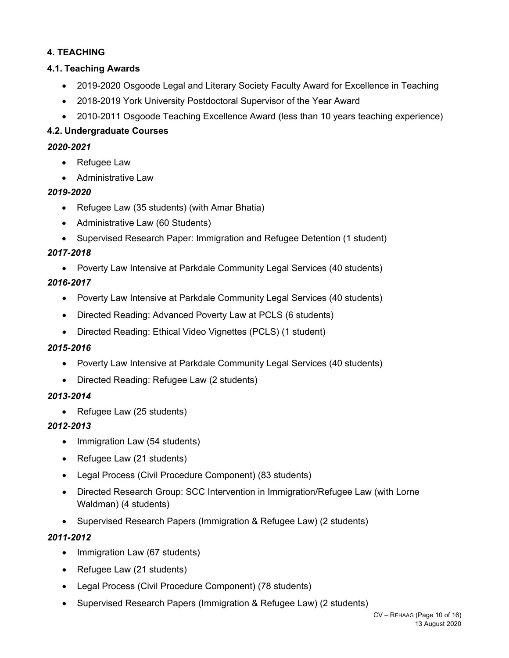# **4. TEACHING**

# **4.1. Teaching Awards**

- 2019-2020 Osgoode Legal and Literary Society Faculty Award for Excellence in Teaching
- 2018-2019 York University Postdoctoral Supervisor of the Year Award
- 2010-2011 Osgoode Teaching Excellence Award (less than 10 years teaching experience)

# **4.2. Undergraduate Courses**

# *2020-2021*

- Refugee Law
- Administrative Law

# *2019-2020*

- Refugee Law (35 students) (with Amar Bhatia)
- Administrative Law (60 Students)
- Supervised Research Paper: Immigration and Refugee Detention (1 student)

# *2017-2018*

Poverty Law Intensive at Parkdale Community Legal Services (40 students)

# *2016-2017*

- Poverty Law Intensive at Parkdale Community Legal Services (40 students)
- Directed Reading: Advanced Poverty Law at PCLS (6 students)
- Directed Reading: Ethical Video Vignettes (PCLS) (1 student)

# *2015-2016*

- Poverty Law Intensive at Parkdale Community Legal Services (40 students)
- Directed Reading: Refugee Law (2 students)

# *2013-2014*

• Refugee Law (25 students)

# *2012-2013*

- Immigration Law (54 students)
- Refugee Law (21 students)
- Legal Process (Civil Procedure Component) (83 students)
- Directed Research Group: SCC Intervention in Immigration/Refugee Law (with Lorne Waldman) (4 students)
- Supervised Research Papers (Immigration & Refugee Law) (2 students)

# *2011-2012*

- Immigration Law (67 students)
- Refugee Law (21 students)
- Legal Process (Civil Procedure Component) (78 students)
- Supervised Research Papers (Immigration & Refugee Law) (2 students)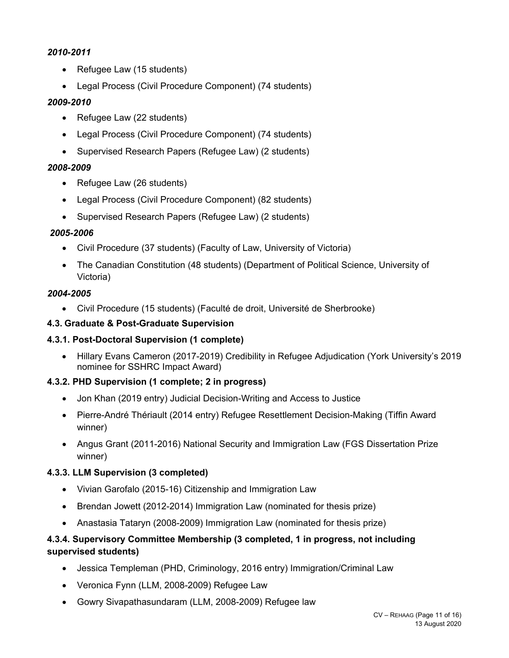### *2010-2011*

- Refugee Law (15 students)
- Legal Process (Civil Procedure Component) (74 students)

### *2009-2010*

- Refugee Law (22 students)
- Legal Process (Civil Procedure Component) (74 students)
- Supervised Research Papers (Refugee Law) (2 students)

#### *2008-2009*

- Refugee Law (26 students)
- Legal Process (Civil Procedure Component) (82 students)
- Supervised Research Papers (Refugee Law) (2 students)

#### *2005-2006*

- Civil Procedure (37 students) (Faculty of Law, University of Victoria)
- The Canadian Constitution (48 students) (Department of Political Science, University of Victoria)

#### *2004-2005*

Civil Procedure (15 students) (Faculté de droit, Université de Sherbrooke)

# **4.3. Graduate & Post-Graduate Supervision**

# **4.3.1. Post-Doctoral Supervision (1 complete)**

 Hillary Evans Cameron (2017-2019) Credibility in Refugee Adjudication (York University's 2019 nominee for SSHRC Impact Award)

# **4.3.2. PHD Supervision (1 complete; 2 in progress)**

- Jon Khan (2019 entry) Judicial Decision-Writing and Access to Justice
- Pierre-André Thériault (2014 entry) Refugee Resettlement Decision-Making (Tiffin Award winner)
- Angus Grant (2011-2016) National Security and Immigration Law (FGS Dissertation Prize winner)

# **4.3.3. LLM Supervision (3 completed)**

- Vivian Garofalo (2015-16) Citizenship and Immigration Law
- Brendan Jowett (2012-2014) Immigration Law (nominated for thesis prize)
- Anastasia Tataryn (2008-2009) Immigration Law (nominated for thesis prize)

# **4.3.4. Supervisory Committee Membership (3 completed, 1 in progress, not including supervised students)**

- Jessica Templeman (PHD, Criminology, 2016 entry) Immigration/Criminal Law
- Veronica Fynn (LLM, 2008-2009) Refugee Law
- Gowry Sivapathasundaram (LLM, 2008-2009) Refugee law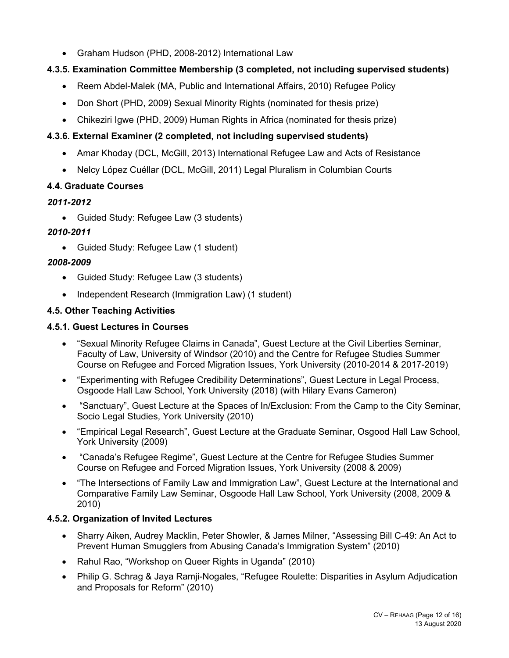Graham Hudson (PHD, 2008-2012) International Law

# **4.3.5. Examination Committee Membership (3 completed, not including supervised students)**

- Reem Abdel-Malek (MA, Public and International Affairs, 2010) Refugee Policy
- Don Short (PHD, 2009) Sexual Minority Rights (nominated for thesis prize)
- Chikeziri Igwe (PHD, 2009) Human Rights in Africa (nominated for thesis prize)

# **4.3.6. External Examiner (2 completed, not including supervised students)**

- Amar Khoday (DCL, McGill, 2013) International Refugee Law and Acts of Resistance
- Nelcy López Cuéllar (DCL, McGill, 2011) Legal Pluralism in Columbian Courts

# **4.4. Graduate Courses**

# *2011-2012*

Guided Study: Refugee Law (3 students)

# *2010-2011*

Guided Study: Refugee Law (1 student)

# *2008-2009*

- Guided Study: Refugee Law (3 students)
- Independent Research (Immigration Law) (1 student)

# **4.5. Other Teaching Activities**

# **4.5.1. Guest Lectures in Courses**

- "Sexual Minority Refugee Claims in Canada", Guest Lecture at the Civil Liberties Seminar, Faculty of Law, University of Windsor (2010) and the Centre for Refugee Studies Summer Course on Refugee and Forced Migration Issues, York University (2010-2014 & 2017-2019)
- "Experimenting with Refugee Credibility Determinations", Guest Lecture in Legal Process, Osgoode Hall Law School, York University (2018) (with Hilary Evans Cameron)
- "Sanctuary", Guest Lecture at the Spaces of In/Exclusion: From the Camp to the City Seminar, Socio Legal Studies, York University (2010)
- "Empirical Legal Research", Guest Lecture at the Graduate Seminar, Osgood Hall Law School, York University (2009)
- "Canada's Refugee Regime", Guest Lecture at the Centre for Refugee Studies Summer Course on Refugee and Forced Migration Issues, York University (2008 & 2009)
- "The Intersections of Family Law and Immigration Law", Guest Lecture at the International and Comparative Family Law Seminar, Osgoode Hall Law School, York University (2008, 2009 & 2010)

# **4.5.2. Organization of Invited Lectures**

- Sharry Aiken, Audrey Macklin, Peter Showler, & James Milner, "Assessing Bill C-49: An Act to Prevent Human Smugglers from Abusing Canada's Immigration System" (2010)
- Rahul Rao, "Workshop on Queer Rights in Uganda" (2010)
- Philip G. Schrag & Jaya Ramji-Nogales, "Refugee Roulette: Disparities in Asylum Adjudication and Proposals for Reform" (2010)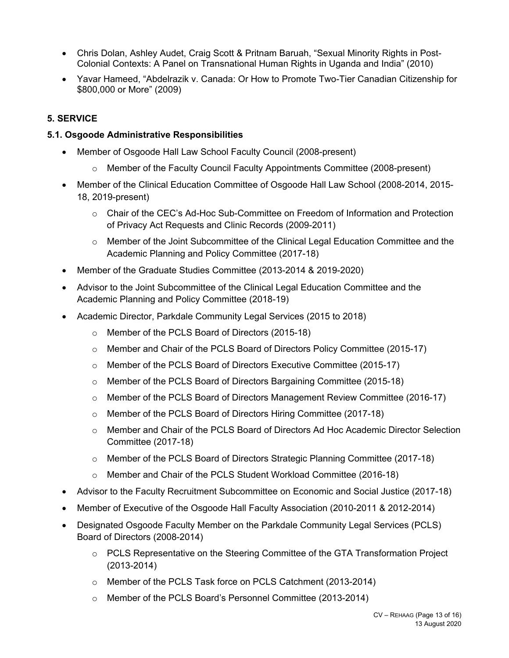- Chris Dolan, Ashley Audet, Craig Scott & Pritnam Baruah, "Sexual Minority Rights in Post-Colonial Contexts: A Panel on Transnational Human Rights in Uganda and India" (2010)
- Yavar Hameed, "Abdelrazik v. Canada: Or How to Promote Two-Tier Canadian Citizenship for \$800,000 or More" (2009)

# **5. SERVICE**

#### **5.1. Osgoode Administrative Responsibilities**

- Member of Osgoode Hall Law School Faculty Council (2008-present)
	- o Member of the Faculty Council Faculty Appointments Committee (2008-present)
- Member of the Clinical Education Committee of Osgoode Hall Law School (2008-2014, 2015- 18, 2019-present)
	- o Chair of the CEC's Ad-Hoc Sub-Committee on Freedom of Information and Protection of Privacy Act Requests and Clinic Records (2009-2011)
	- o Member of the Joint Subcommittee of the Clinical Legal Education Committee and the Academic Planning and Policy Committee (2017-18)
- Member of the Graduate Studies Committee (2013-2014 & 2019-2020)
- Advisor to the Joint Subcommittee of the Clinical Legal Education Committee and the Academic Planning and Policy Committee (2018-19)
- Academic Director, Parkdale Community Legal Services (2015 to 2018)
	- o Member of the PCLS Board of Directors (2015-18)
	- o Member and Chair of the PCLS Board of Directors Policy Committee (2015-17)
	- o Member of the PCLS Board of Directors Executive Committee (2015-17)
	- o Member of the PCLS Board of Directors Bargaining Committee (2015-18)
	- o Member of the PCLS Board of Directors Management Review Committee (2016-17)
	- o Member of the PCLS Board of Directors Hiring Committee (2017-18)
	- o Member and Chair of the PCLS Board of Directors Ad Hoc Academic Director Selection Committee (2017-18)
	- o Member of the PCLS Board of Directors Strategic Planning Committee (2017-18)
	- o Member and Chair of the PCLS Student Workload Committee (2016-18)
- Advisor to the Faculty Recruitment Subcommittee on Economic and Social Justice (2017-18)
- Member of Executive of the Osgoode Hall Faculty Association (2010-2011 & 2012-2014)
- Designated Osgoode Faculty Member on the Parkdale Community Legal Services (PCLS) Board of Directors (2008-2014)
	- $\circ$  PCLS Representative on the Steering Committee of the GTA Transformation Project (2013-2014)
	- o Member of the PCLS Task force on PCLS Catchment (2013-2014)
	- o Member of the PCLS Board's Personnel Committee (2013-2014)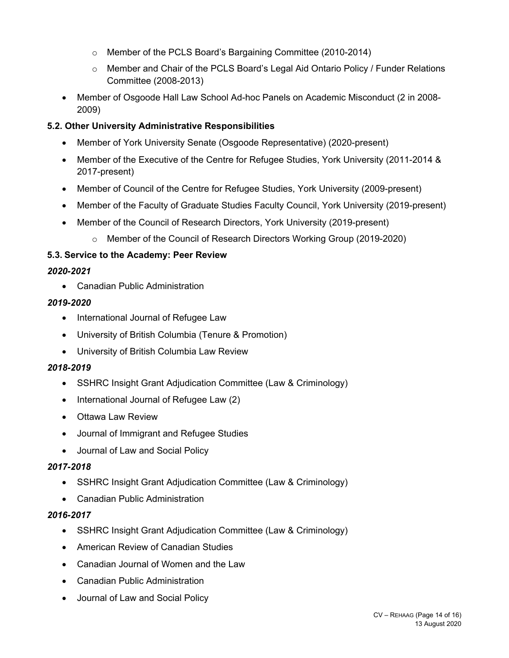- o Member of the PCLS Board's Bargaining Committee (2010-2014)
- o Member and Chair of the PCLS Board's Legal Aid Ontario Policy / Funder Relations Committee (2008-2013)
- Member of Osgoode Hall Law School Ad-hoc Panels on Academic Misconduct (2 in 2008- 2009)

# **5.2. Other University Administrative Responsibilities**

- Member of York University Senate (Osgoode Representative) (2020-present)
- Member of the Executive of the Centre for Refugee Studies, York University (2011-2014 & 2017-present)
- Member of Council of the Centre for Refugee Studies, York University (2009-present)
- Member of the Faculty of Graduate Studies Faculty Council, York University (2019-present)
- Member of the Council of Research Directors, York University (2019-present)
	- o Member of the Council of Research Directors Working Group (2019-2020)

# **5.3. Service to the Academy: Peer Review**

# *2020-2021*

Canadian Public Administration

# *2019-2020*

- International Journal of Refugee Law
- University of British Columbia (Tenure & Promotion)
- University of British Columbia Law Review

# *2018-2019*

- SSHRC Insight Grant Adjudication Committee (Law & Criminology)
- International Journal of Refugee Law (2)
- Ottawa Law Review
- Journal of Immigrant and Refugee Studies
- Journal of Law and Social Policy

# *2017-2018*

- SSHRC Insight Grant Adjudication Committee (Law & Criminology)
- Canadian Public Administration

# *2016-2017*

- SSHRC Insight Grant Adjudication Committee (Law & Criminology)
- American Review of Canadian Studies
- Canadian Journal of Women and the Law
- Canadian Public Administration
- Journal of Law and Social Policy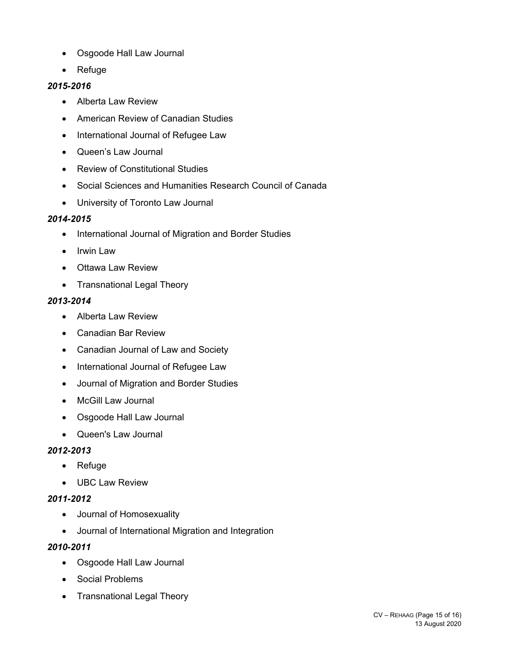- Osgoode Hall Law Journal
- Refuge

# *2015-2016*

- Alberta Law Review
- American Review of Canadian Studies
- International Journal of Refugee Law
- Queen's Law Journal
- Review of Constitutional Studies
- Social Sciences and Humanities Research Council of Canada
- University of Toronto Law Journal

# *2014-2015*

- International Journal of Migration and Border Studies
- Irwin Law
- Ottawa Law Review
- Transnational Legal Theory

# *2013-2014*

- Alberta Law Review
- Canadian Bar Review
- Canadian Journal of Law and Society
- International Journal of Refugee Law
- Journal of Migration and Border Studies
- McGill Law Journal
- Osgoode Hall Law Journal
- Queen's Law Journal

# *2012-2013*

- Refuge
- UBC Law Review

# *2011-2012*

- Journal of Homosexuality
- Journal of International Migration and Integration

# *2010-2011*

- Osgoode Hall Law Journal
- Social Problems
- Transnational Legal Theory